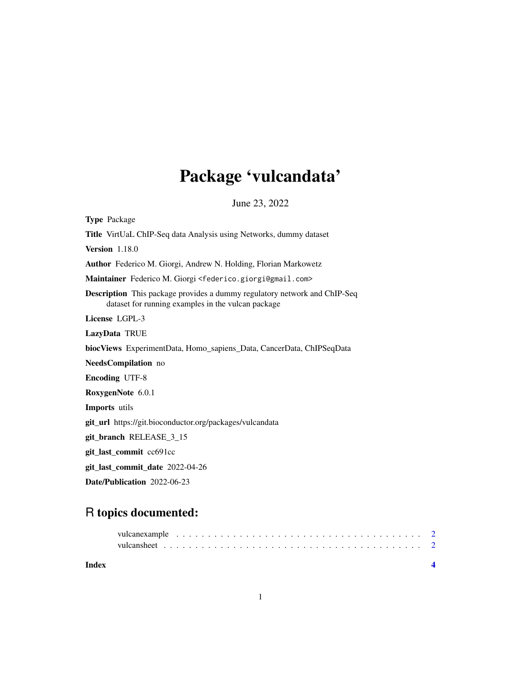## Package 'vulcandata'

June 23, 2022

Type Package Title VirtUaL ChIP-Seq data Analysis using Networks, dummy dataset Version 1.18.0 Author Federico M. Giorgi, Andrew N. Holding, Florian Markowetz Maintainer Federico M. Giorgi <federico.giorgi@gmail.com> Description This package provides a dummy regulatory network and ChIP-Seq dataset for running examples in the vulcan package License LGPL-3 LazyData TRUE biocViews ExperimentData, Homo\_sapiens\_Data, CancerData, ChIPSeqData NeedsCompilation no Encoding UTF-8 RoxygenNote 6.0.1 Imports utils git\_url https://git.bioconductor.org/packages/vulcandata git\_branch RELEASE\_3\_15 git\_last\_commit cc691cc git\_last\_commit\_date 2022-04-26 Date/Publication 2022-06-23

### R topics documented:

| Index |  |  |  |  |  |  |  |  |  |  |  |  |  |  |  |  |  |  |
|-------|--|--|--|--|--|--|--|--|--|--|--|--|--|--|--|--|--|--|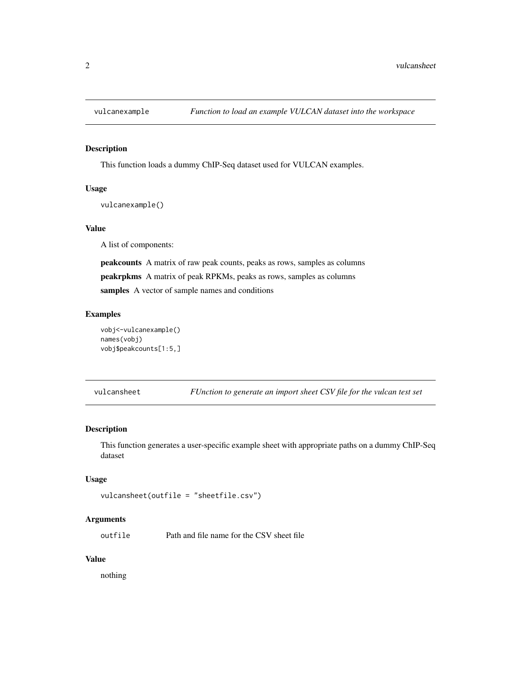<span id="page-1-0"></span>

#### Description

This function loads a dummy ChIP-Seq dataset used for VULCAN examples.

#### Usage

vulcanexample()

#### Value

A list of components:

peakcounts A matrix of raw peak counts, peaks as rows, samples as columns peakrpkms A matrix of peak RPKMs, peaks as rows, samples as columns samples A vector of sample names and conditions

#### Examples

```
vobj<-vulcanexample()
names(vobj)
vobj$peakcounts[1:5,]
```
vulcansheet *FUnction to generate an import sheet CSV file for the vulcan test set*

#### Description

This function generates a user-specific example sheet with appropriate paths on a dummy ChIP-Seq dataset

#### Usage

```
vulcansheet(outfile = "sheetfile.csv")
```
#### Arguments

outfile Path and file name for the CSV sheet file

#### Value

nothing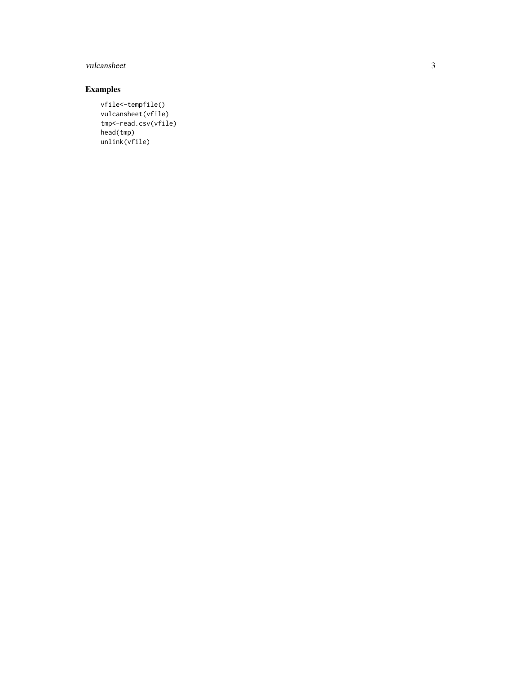#### vulcansheet

#### Examples

vfile<-tempfile() vulcansheet(vfile) tmp<-read.csv(vfile) head(tmp) unlink(vfile)